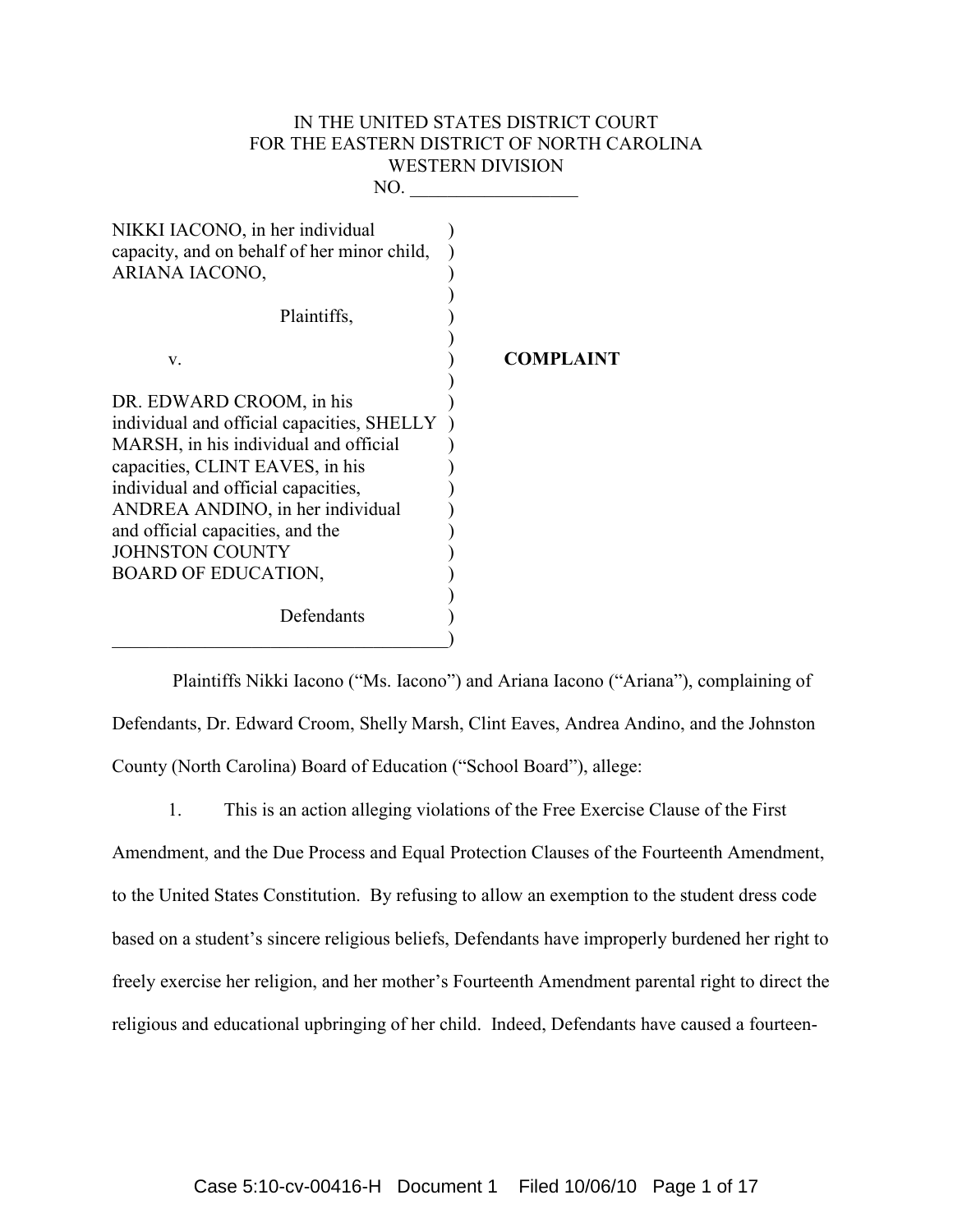# IN THE UNITED STATES DISTRICT COURT FOR THE EASTERN DISTRICT OF NORTH CAROLINA WESTERN DIVISION

| NO                                                                                                                                                                                                                                                                                                                        |                  |
|---------------------------------------------------------------------------------------------------------------------------------------------------------------------------------------------------------------------------------------------------------------------------------------------------------------------------|------------------|
| NIKKI IACONO, in her individual<br>capacity, and on behalf of her minor child,<br>ARIANA IACONO,                                                                                                                                                                                                                          |                  |
| Plaintiffs,                                                                                                                                                                                                                                                                                                               |                  |
| V.                                                                                                                                                                                                                                                                                                                        | <b>COMPLAINT</b> |
| DR. EDWARD CROOM, in his<br>individual and official capacities, SHELLY<br>MARSH, in his individual and official<br>capacities, CLINT EAVES, in his<br>individual and official capacities,<br>ANDREA ANDINO, in her individual<br>and official capacities, and the<br><b>JOHNSTON COUNTY</b><br><b>BOARD OF EDUCATION,</b> |                  |
| Defendants                                                                                                                                                                                                                                                                                                                |                  |

 Plaintiffs Nikki Iacono ("Ms. Iacono") and Ariana Iacono ("Ariana"), complaining of Defendants, Dr. Edward Croom, Shelly Marsh, Clint Eaves, Andrea Andino, and the Johnston County (North Carolina) Board of Education ("School Board"), allege:

1. This is an action alleging violations of the Free Exercise Clause of the First

Amendment, and the Due Process and Equal Protection Clauses of the Fourteenth Amendment, to the United States Constitution. By refusing to allow an exemption to the student dress code based on a student's sincere religious beliefs, Defendants have improperly burdened her right to freely exercise her religion, and her mother's Fourteenth Amendment parental right to direct the religious and educational upbringing of her child. Indeed, Defendants have caused a fourteen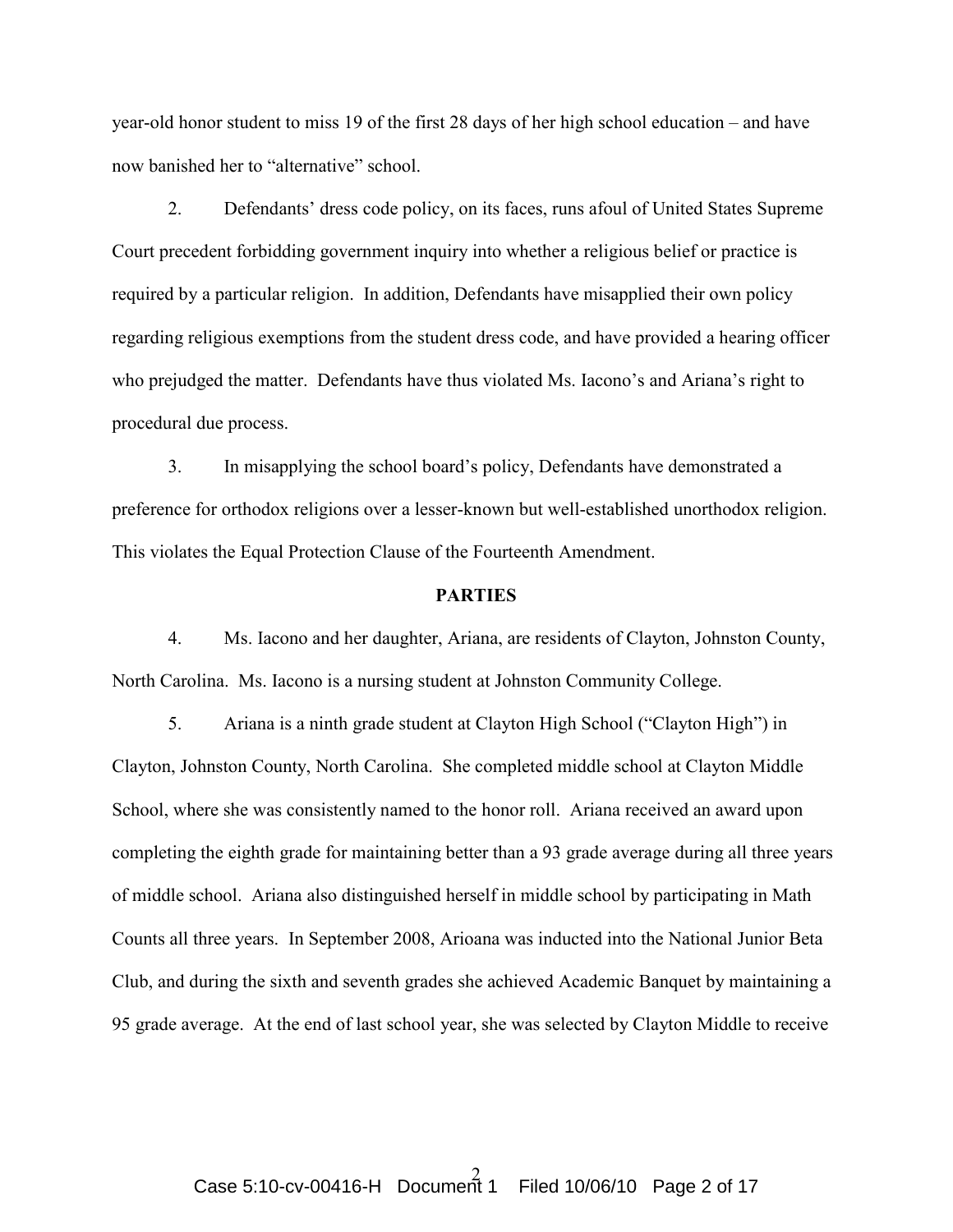year-old honor student to miss 19 of the first 28 days of her high school education – and have now banished her to "alternative" school.

2. Defendants' dress code policy, on its faces, runs afoul of United States Supreme Court precedent forbidding government inquiry into whether a religious belief or practice is required by a particular religion. In addition, Defendants have misapplied their own policy regarding religious exemptions from the student dress code, and have provided a hearing officer who prejudged the matter. Defendants have thus violated Ms. Iacono's and Ariana's right to procedural due process.

3. In misapplying the school board's policy, Defendants have demonstrated a preference for orthodox religions over a lesser-known but well-established unorthodox religion. This violates the Equal Protection Clause of the Fourteenth Amendment.

## **PARTIES**

 4. Ms. Iacono and her daughter, Ariana, are residents of Clayton, Johnston County, North Carolina. Ms. Iacono is a nursing student at Johnston Community College.

 5. Ariana is a ninth grade student at Clayton High School ("Clayton High") in Clayton, Johnston County, North Carolina. She completed middle school at Clayton Middle School, where she was consistently named to the honor roll. Ariana received an award upon completing the eighth grade for maintaining better than a 93 grade average during all three years of middle school. Ariana also distinguished herself in middle school by participating in Math Counts all three years. In September 2008, Arioana was inducted into the National Junior Beta Club, and during the sixth and seventh grades she achieved Academic Banquet by maintaining a 95 grade average. At the end of last school year, she was selected by Clayton Middle to receive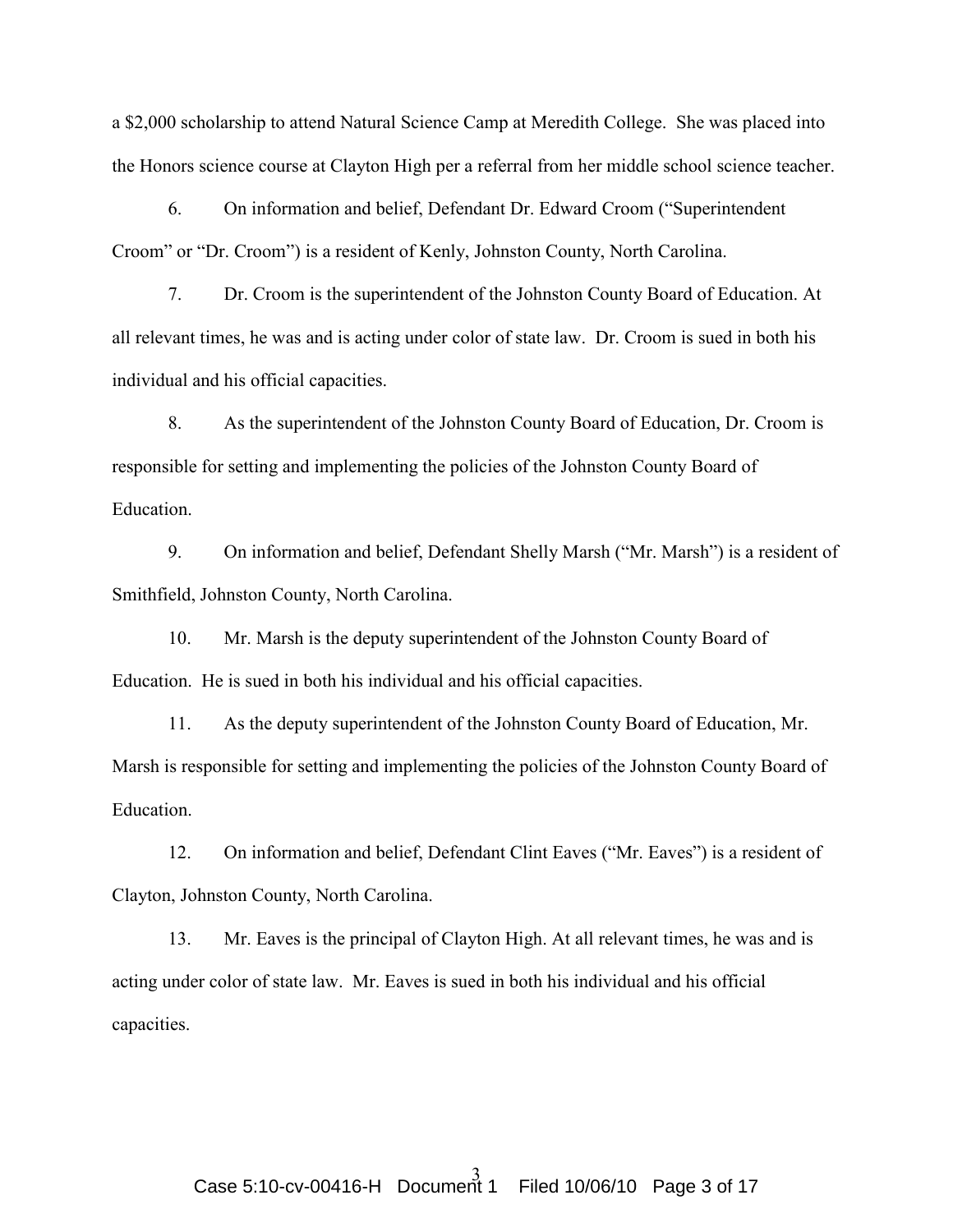a \$2,000 scholarship to attend Natural Science Camp at Meredith College. She was placed into the Honors science course at Clayton High per a referral from her middle school science teacher.

6. On information and belief, Defendant Dr. Edward Croom ("Superintendent Croom" or "Dr. Croom") is a resident of Kenly, Johnston County, North Carolina.

7. Dr. Croom is the superintendent of the Johnston County Board of Education. At all relevant times, he was and is acting under color of state law. Dr. Croom is sued in both his individual and his official capacities.

8. As the superintendent of the Johnston County Board of Education, Dr. Croom is responsible for setting and implementing the policies of the Johnston County Board of Education.

9. On information and belief, Defendant Shelly Marsh ("Mr. Marsh") is a resident of Smithfield, Johnston County, North Carolina.

10. Mr. Marsh is the deputy superintendent of the Johnston County Board of Education. He is sued in both his individual and his official capacities.

11. As the deputy superintendent of the Johnston County Board of Education, Mr. Marsh is responsible for setting and implementing the policies of the Johnston County Board of **Education** 

12. On information and belief, Defendant Clint Eaves ("Mr. Eaves") is a resident of Clayton, Johnston County, North Carolina.

13. Mr. Eaves is the principal of Clayton High. At all relevant times, he was and is acting under color of state law. Mr. Eaves is sued in both his individual and his official capacities.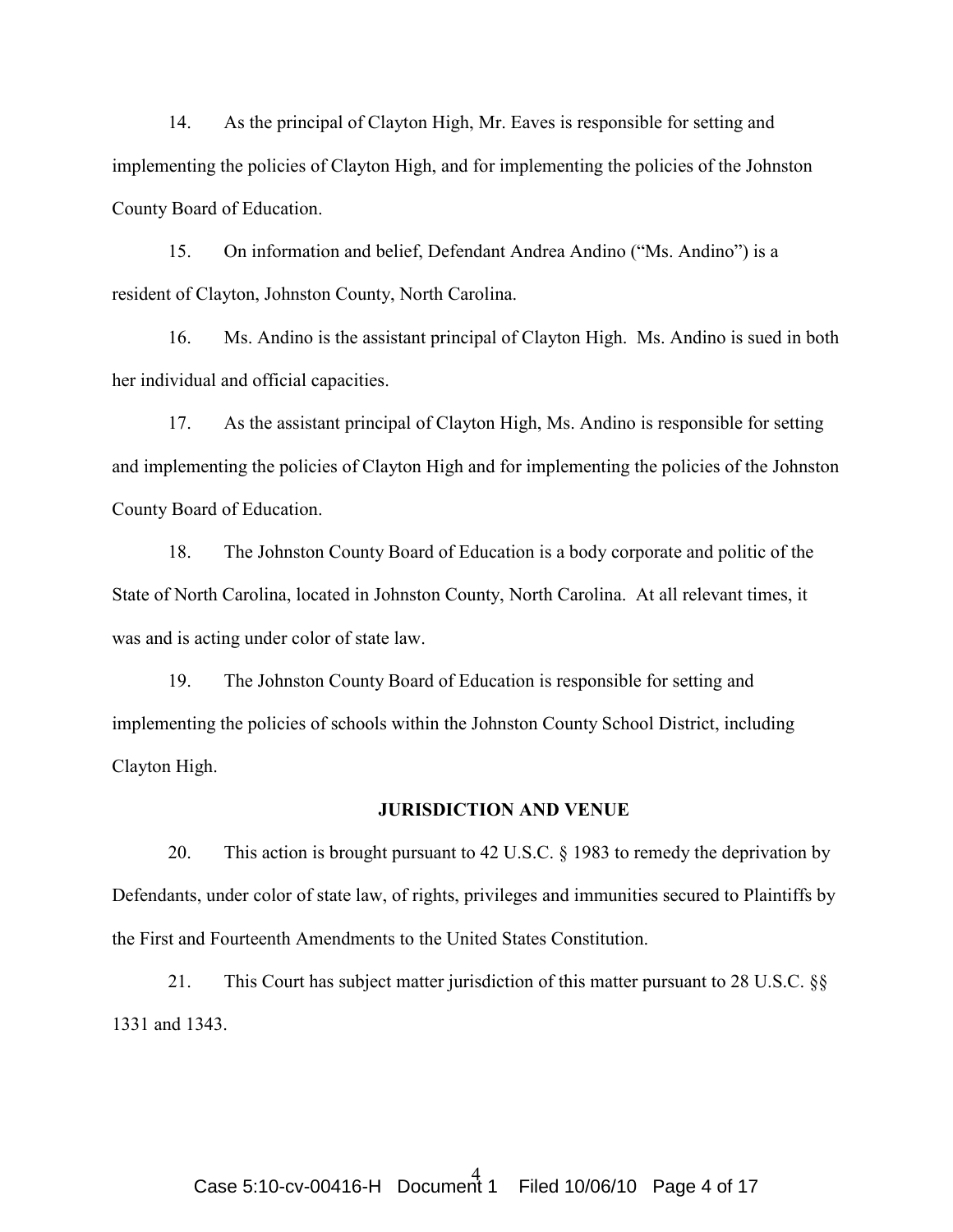14. As the principal of Clayton High, Mr. Eaves is responsible for setting and implementing the policies of Clayton High, and for implementing the policies of the Johnston County Board of Education.

15. On information and belief, Defendant Andrea Andino ("Ms. Andino") is a resident of Clayton, Johnston County, North Carolina.

16. Ms. Andino is the assistant principal of Clayton High. Ms. Andino is sued in both her individual and official capacities.

17. As the assistant principal of Clayton High, Ms. Andino is responsible for setting and implementing the policies of Clayton High and for implementing the policies of the Johnston County Board of Education.

18. The Johnston County Board of Education is a body corporate and politic of the State of North Carolina, located in Johnston County, North Carolina. At all relevant times, it was and is acting under color of state law.

19. The Johnston County Board of Education is responsible for setting and implementing the policies of schools within the Johnston County School District, including Clayton High.

#### JURISDICTION AND VENUE

20. This action is brought pursuant to 42 U.S.C. § 1983 to remedy the deprivation by Defendants, under color of state law, of rights, privileges and immunities secured to Plaintiffs by the First and Fourteenth Amendments to the United States Constitution.

21. This Court has subject matter jurisdiction of this matter pursuant to 28 U.S.C. §§ 1331 and 1343.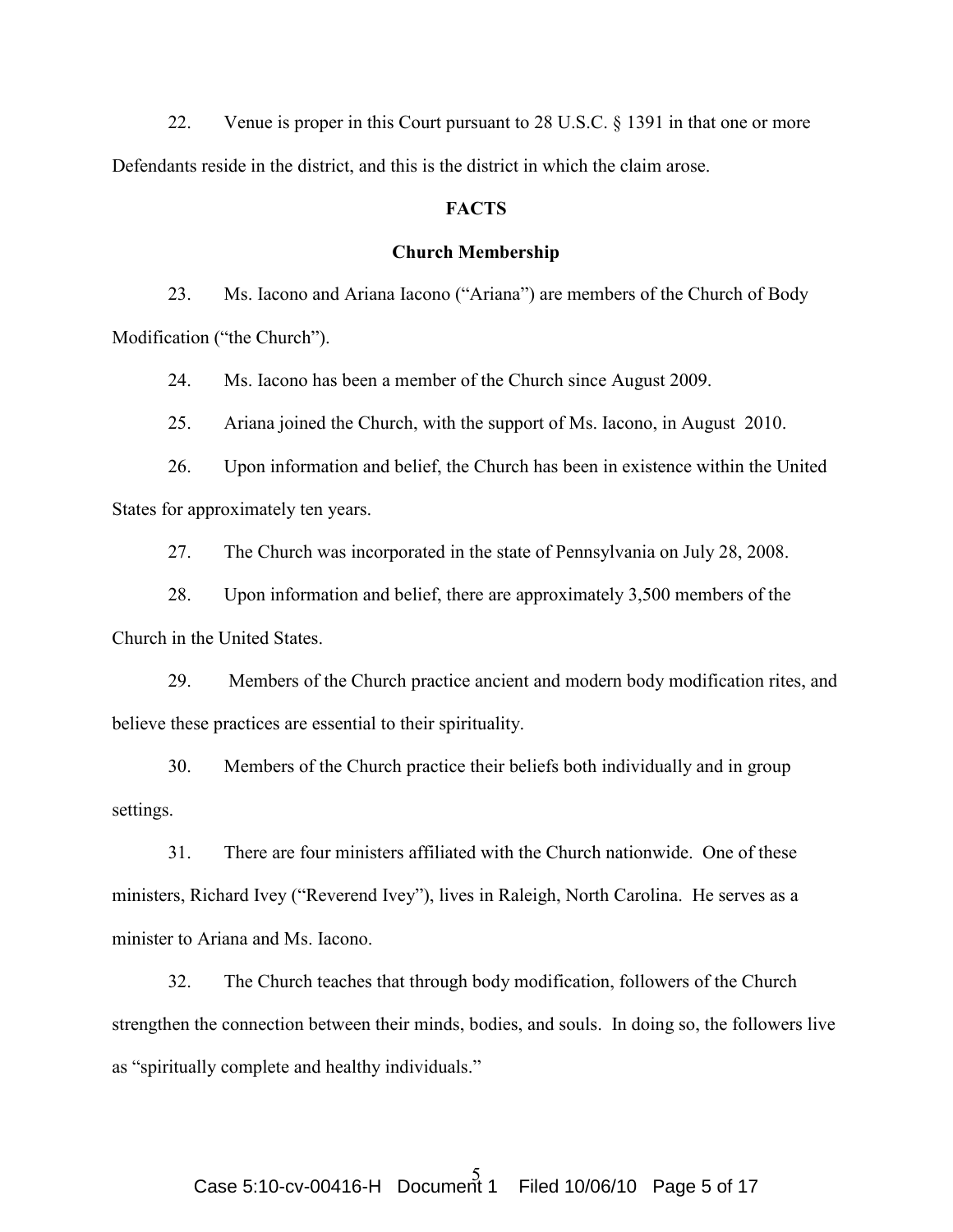22. Venue is proper in this Court pursuant to 28 U.S.C. § 1391 in that one or more Defendants reside in the district, and this is the district in which the claim arose.

### **FACTS**

### Church Membership

23. Ms. Iacono and Ariana Iacono ("Ariana") are members of the Church of Body Modification ("the Church").

24. Ms. Iacono has been a member of the Church since August 2009.

25. Ariana joined the Church, with the support of Ms. Iacono, in August 2010.

26. Upon information and belief, the Church has been in existence within the United States for approximately ten years.

27. The Church was incorporated in the state of Pennsylvania on July 28, 2008.

28. Upon information and belief, there are approximately 3,500 members of the Church in the United States.

29. Members of the Church practice ancient and modern body modification rites, and believe these practices are essential to their spirituality.

30. Members of the Church practice their beliefs both individually and in group settings.

31. There are four ministers affiliated with the Church nationwide. One of these ministers, Richard Ivey ("Reverend Ivey"), lives in Raleigh, North Carolina. He serves as a minister to Ariana and Ms. Iacono.

32. The Church teaches that through body modification, followers of the Church strengthen the connection between their minds, bodies, and souls. In doing so, the followers live as "spiritually complete and healthy individuals."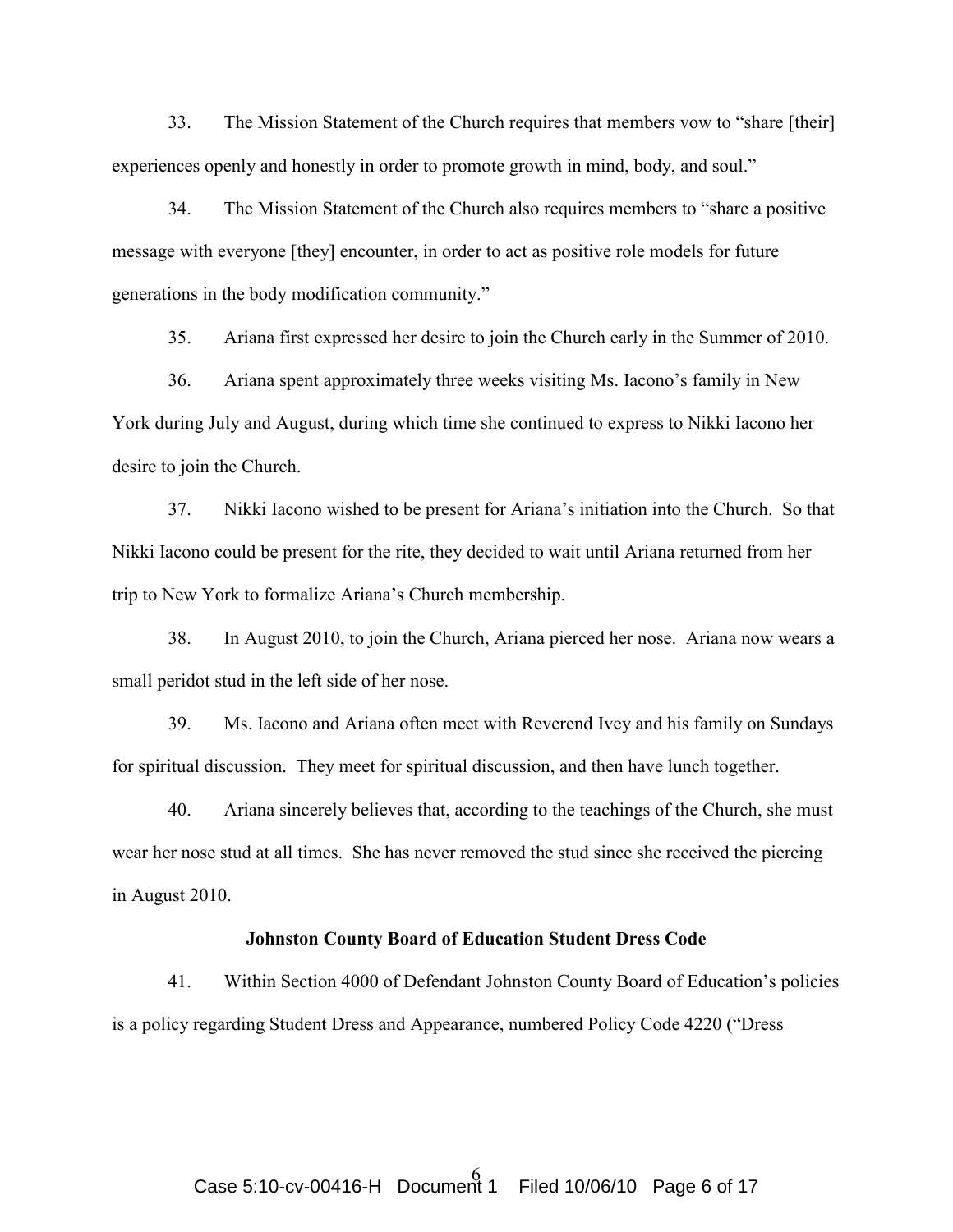33. The Mission Statement of the Church requires that members vow to "share [their] experiences openly and honestly in order to promote growth in mind, body, and soul."

34. The Mission Statement of the Church also requires members to "share a positive message with everyone [they] encounter, in order to act as positive role models for future generations in the body modification community."

35. Ariana first expressed her desire to join the Church early in the Summer of 2010.

36. Ariana spent approximately three weeks visiting Ms. Iacono's family in New York during July and August, during which time she continued to express to Nikki Iacono her desire to join the Church.

37. Nikki Iacono wished to be present for Ariana's initiation into the Church. So that Nikki Iacono could be present for the rite, they decided to wait until Ariana returned from her trip to New York to formalize Ariana's Church membership.

38. In August 2010, to join the Church, Ariana pierced her nose. Ariana now wears a small peridot stud in the left side of her nose.

39. Ms. Iacono and Ariana often meet with Reverend Ivey and his family on Sundays for spiritual discussion. They meet for spiritual discussion, and then have lunch together.

40. Ariana sincerely believes that, according to the teachings of the Church, she must wear her nose stud at all times. She has never removed the stud since she received the piercing in August 2010.

### Johnston County Board of Education Student Dress Code

41. Within Section 4000 of Defendant Johnston County Board of Education's policies is a policy regarding Student Dress and Appearance, numbered Policy Code 4220 ("Dress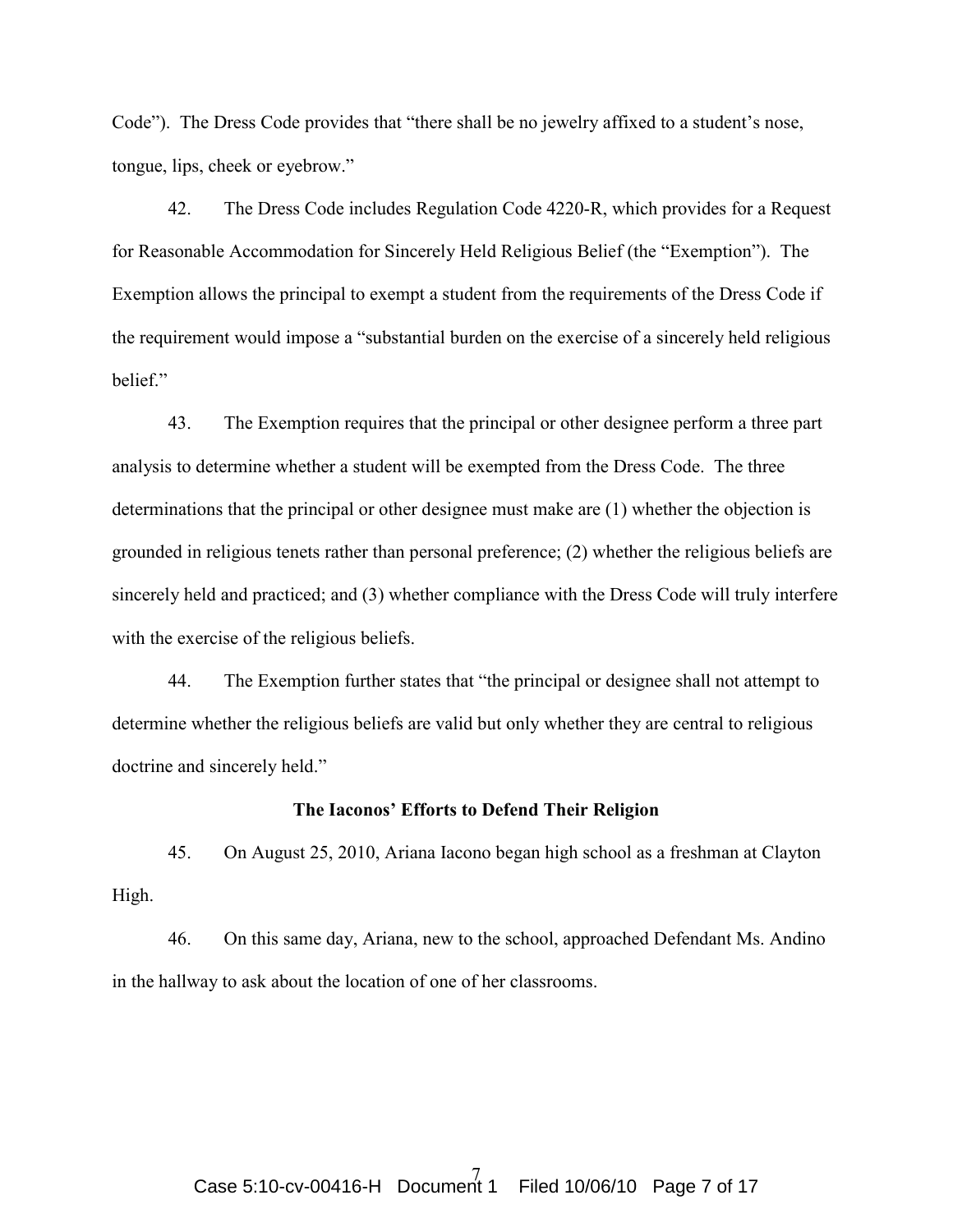Code"). The Dress Code provides that "there shall be no jewelry affixed to a student's nose, tongue, lips, cheek or eyebrow."

42. The Dress Code includes Regulation Code 4220-R, which provides for a Request for Reasonable Accommodation for Sincerely Held Religious Belief (the "Exemption"). The Exemption allows the principal to exempt a student from the requirements of the Dress Code if the requirement would impose a "substantial burden on the exercise of a sincerely held religious belief."

43. The Exemption requires that the principal or other designee perform a three part analysis to determine whether a student will be exempted from the Dress Code. The three determinations that the principal or other designee must make are (1) whether the objection is grounded in religious tenets rather than personal preference; (2) whether the religious beliefs are sincerely held and practiced; and (3) whether compliance with the Dress Code will truly interfere with the exercise of the religious beliefs.

44. The Exemption further states that "the principal or designee shall not attempt to determine whether the religious beliefs are valid but only whether they are central to religious doctrine and sincerely held."

#### The Iaconos' Efforts to Defend Their Religion

45. On August 25, 2010, Ariana Iacono began high school as a freshman at Clayton High.

46. On this same day, Ariana, new to the school, approached Defendant Ms. Andino in the hallway to ask about the location of one of her classrooms.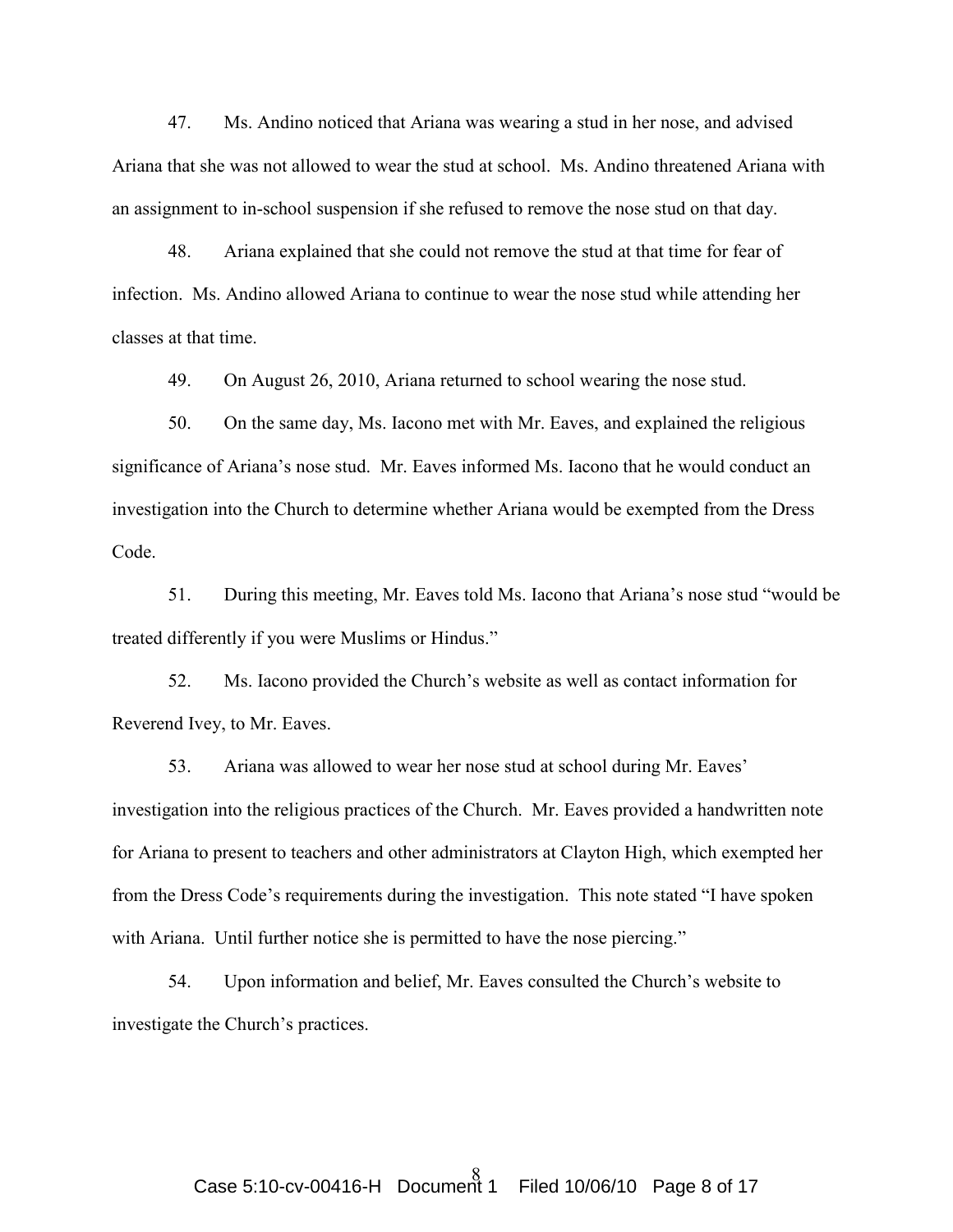47. Ms. Andino noticed that Ariana was wearing a stud in her nose, and advised Ariana that she was not allowed to wear the stud at school. Ms. Andino threatened Ariana with an assignment to in-school suspension if she refused to remove the nose stud on that day.

48. Ariana explained that she could not remove the stud at that time for fear of infection. Ms. Andino allowed Ariana to continue to wear the nose stud while attending her classes at that time.

49. On August 26, 2010, Ariana returned to school wearing the nose stud.

50. On the same day, Ms. Iacono met with Mr. Eaves, and explained the religious significance of Ariana's nose stud. Mr. Eaves informed Ms. Iacono that he would conduct an investigation into the Church to determine whether Ariana would be exempted from the Dress Code.

51. During this meeting, Mr. Eaves told Ms. Iacono that Ariana's nose stud "would be treated differently if you were Muslims or Hindus."

52. Ms. Iacono provided the Church's website as well as contact information for Reverend Ivey, to Mr. Eaves.

53. Ariana was allowed to wear her nose stud at school during Mr. Eaves' investigation into the religious practices of the Church. Mr. Eaves provided a handwritten note for Ariana to present to teachers and other administrators at Clayton High, which exempted her from the Dress Code's requirements during the investigation. This note stated "I have spoken with Ariana. Until further notice she is permitted to have the nose piercing."

54. Upon information and belief, Mr. Eaves consulted the Church's website to investigate the Church's practices.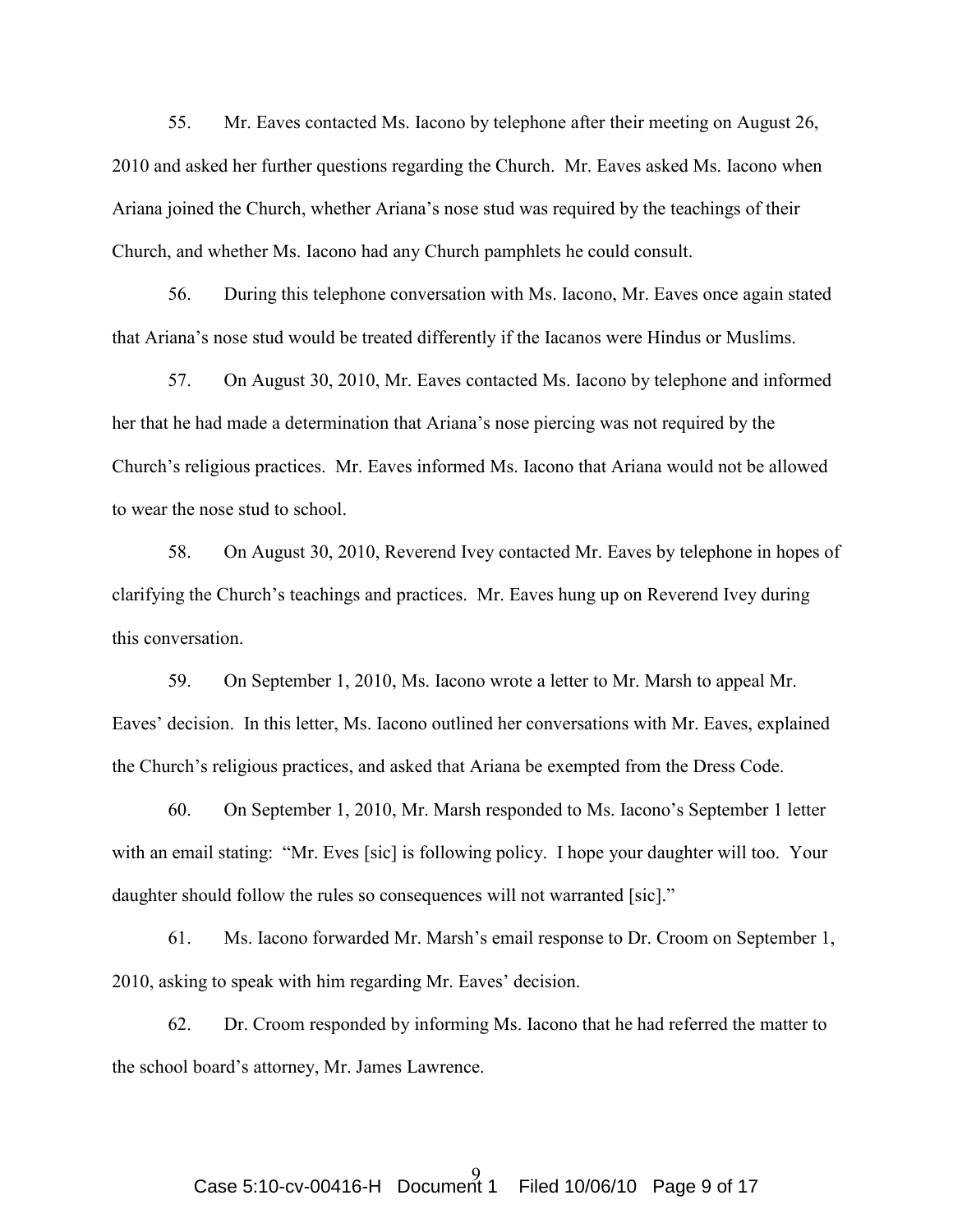55. Mr. Eaves contacted Ms. Iacono by telephone after their meeting on August 26, 2010 and asked her further questions regarding the Church. Mr. Eaves asked Ms. Iacono when Ariana joined the Church, whether Ariana's nose stud was required by the teachings of their Church, and whether Ms. Iacono had any Church pamphlets he could consult.

56. During this telephone conversation with Ms. Iacono, Mr. Eaves once again stated that Ariana's nose stud would be treated differently if the Iacanos were Hindus or Muslims.

57. On August 30, 2010, Mr. Eaves contacted Ms. Iacono by telephone and informed her that he had made a determination that Ariana's nose piercing was not required by the Church's religious practices. Mr. Eaves informed Ms. Iacono that Ariana would not be allowed to wear the nose stud to school.

58. On August 30, 2010, Reverend Ivey contacted Mr. Eaves by telephone in hopes of clarifying the Church's teachings and practices. Mr. Eaves hung up on Reverend Ivey during this conversation.

59. On September 1, 2010, Ms. Iacono wrote a letter to Mr. Marsh to appeal Mr. Eaves' decision. In this letter, Ms. Iacono outlined her conversations with Mr. Eaves, explained the Church's religious practices, and asked that Ariana be exempted from the Dress Code.

60. On September 1, 2010, Mr. Marsh responded to Ms. Iacono's September 1 letter with an email stating: "Mr. Eves [sic] is following policy. I hope your daughter will too. Your daughter should follow the rules so consequences will not warranted [sic]."

61. Ms. Iacono forwarded Mr. Marsh's email response to Dr. Croom on September 1, 2010, asking to speak with him regarding Mr. Eaves' decision.

62. Dr. Croom responded by informing Ms. Iacono that he had referred the matter to the school board's attorney, Mr. James Lawrence.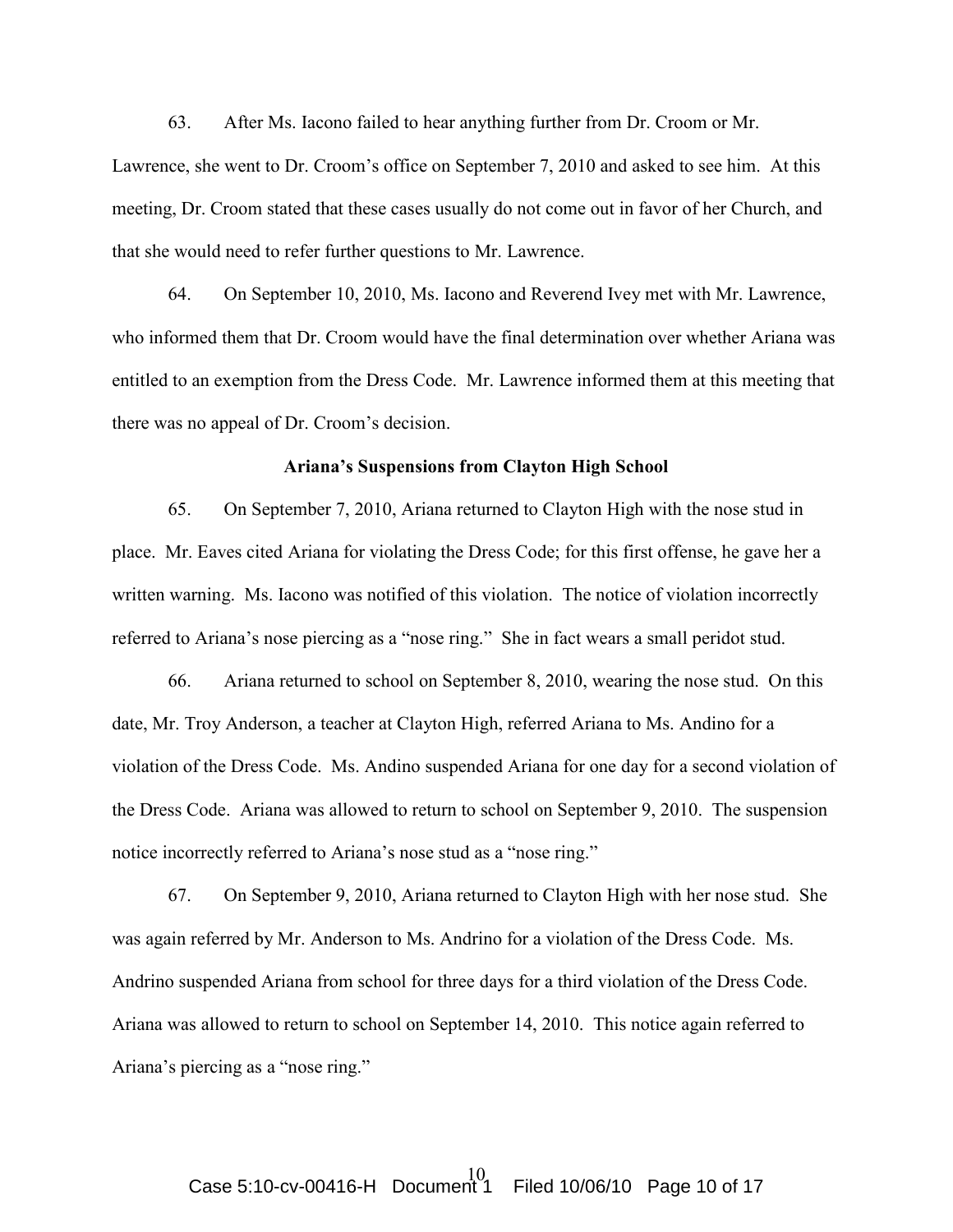63. After Ms. Iacono failed to hear anything further from Dr. Croom or Mr.

Lawrence, she went to Dr. Croom's office on September 7, 2010 and asked to see him. At this meeting, Dr. Croom stated that these cases usually do not come out in favor of her Church, and that she would need to refer further questions to Mr. Lawrence.

64. On September 10, 2010, Ms. Iacono and Reverend Ivey met with Mr. Lawrence, who informed them that Dr. Croom would have the final determination over whether Ariana was entitled to an exemption from the Dress Code. Mr. Lawrence informed them at this meeting that there was no appeal of Dr. Croom's decision.

#### Ariana's Suspensions from Clayton High School

65. On September 7, 2010, Ariana returned to Clayton High with the nose stud in place. Mr. Eaves cited Ariana for violating the Dress Code; for this first offense, he gave her a written warning. Ms. Iacono was notified of this violation. The notice of violation incorrectly referred to Ariana's nose piercing as a "nose ring." She in fact wears a small peridot stud.

66. Ariana returned to school on September 8, 2010, wearing the nose stud. On this date, Mr. Troy Anderson, a teacher at Clayton High, referred Ariana to Ms. Andino for a violation of the Dress Code. Ms. Andino suspended Ariana for one day for a second violation of the Dress Code. Ariana was allowed to return to school on September 9, 2010. The suspension notice incorrectly referred to Ariana's nose stud as a "nose ring."

67. On September 9, 2010, Ariana returned to Clayton High with her nose stud. She was again referred by Mr. Anderson to Ms. Andrino for a violation of the Dress Code. Ms. Andrino suspended Ariana from school for three days for a third violation of the Dress Code. Ariana was allowed to return to school on September 14, 2010. This notice again referred to Ariana's piercing as a "nose ring."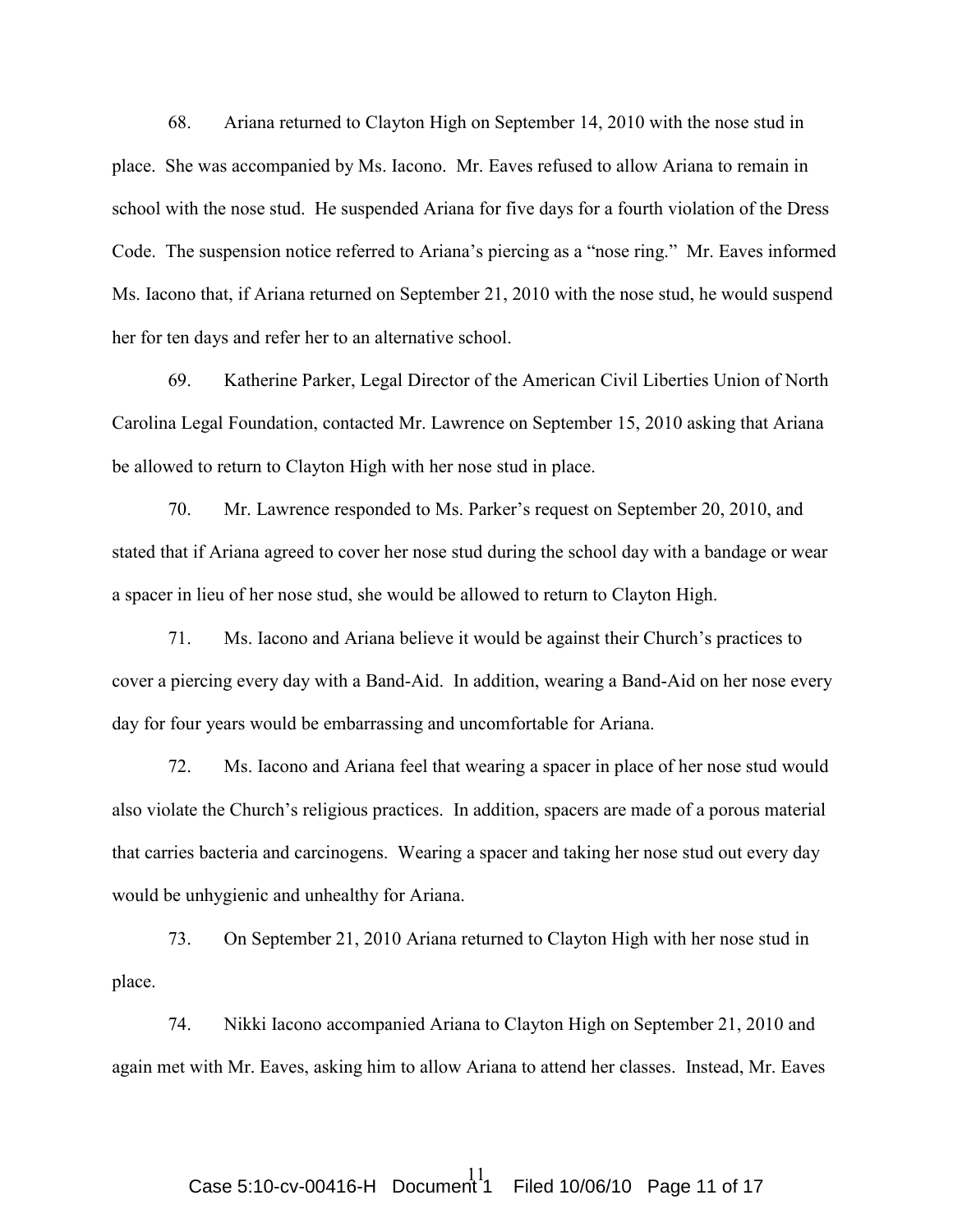68. Ariana returned to Clayton High on September 14, 2010 with the nose stud in place. She was accompanied by Ms. Iacono. Mr. Eaves refused to allow Ariana to remain in school with the nose stud. He suspended Ariana for five days for a fourth violation of the Dress Code. The suspension notice referred to Ariana's piercing as a "nose ring." Mr. Eaves informed Ms. Iacono that, if Ariana returned on September 21, 2010 with the nose stud, he would suspend her for ten days and refer her to an alternative school.

69. Katherine Parker, Legal Director of the American Civil Liberties Union of North Carolina Legal Foundation, contacted Mr. Lawrence on September 15, 2010 asking that Ariana be allowed to return to Clayton High with her nose stud in place.

70. Mr. Lawrence responded to Ms. Parker's request on September 20, 2010, and stated that if Ariana agreed to cover her nose stud during the school day with a bandage or wear a spacer in lieu of her nose stud, she would be allowed to return to Clayton High.

71. Ms. Iacono and Ariana believe it would be against their Church's practices to cover a piercing every day with a Band-Aid. In addition, wearing a Band-Aid on her nose every day for four years would be embarrassing and uncomfortable for Ariana.

72. Ms. Iacono and Ariana feel that wearing a spacer in place of her nose stud would also violate the Church's religious practices. In addition, spacers are made of a porous material that carries bacteria and carcinogens. Wearing a spacer and taking her nose stud out every day would be unhygienic and unhealthy for Ariana.

73. On September 21, 2010 Ariana returned to Clayton High with her nose stud in place.

74. Nikki Iacono accompanied Ariana to Clayton High on September 21, 2010 and again met with Mr. Eaves, asking him to allow Ariana to attend her classes. Instead, Mr. Eaves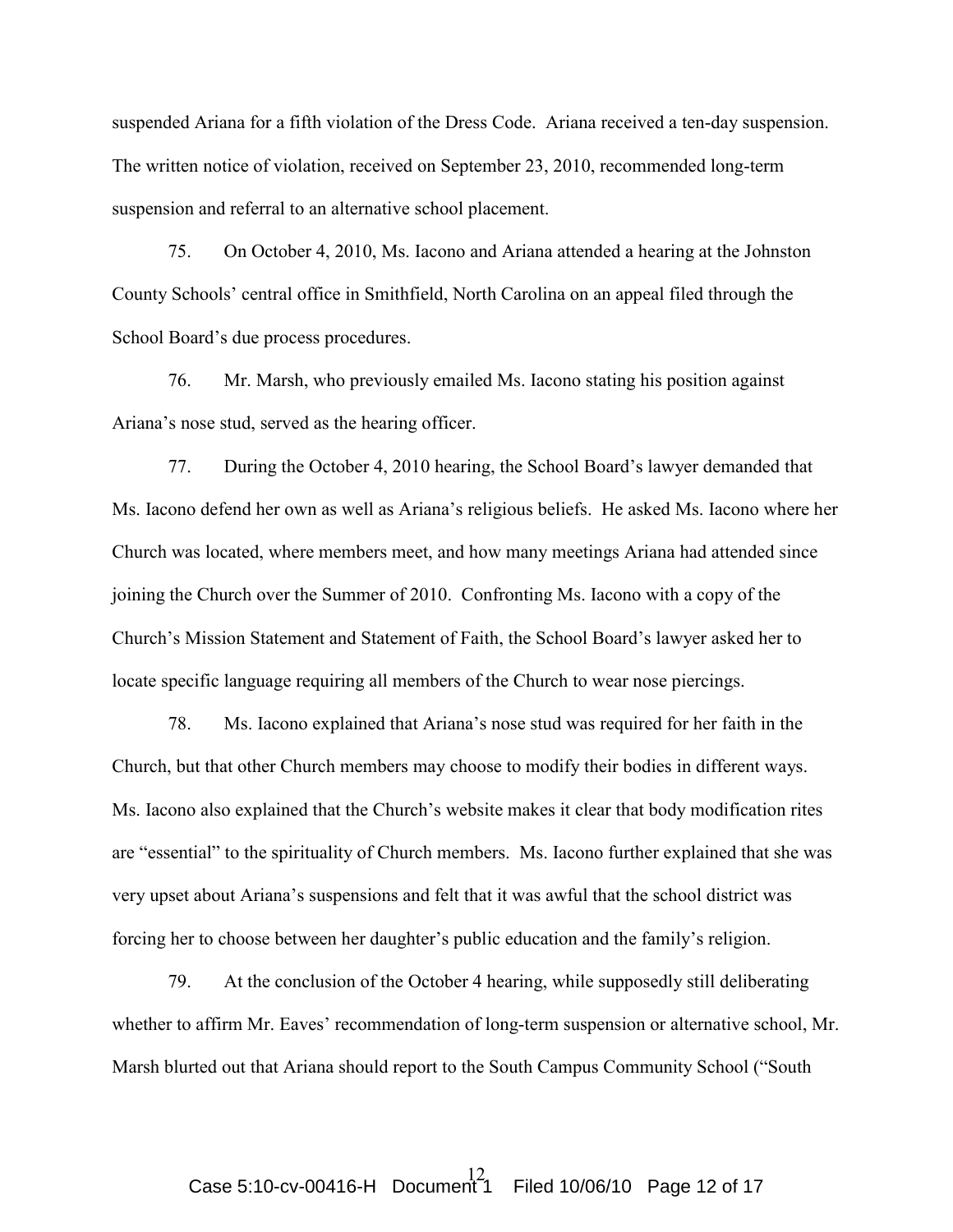suspended Ariana for a fifth violation of the Dress Code. Ariana received a ten-day suspension. The written notice of violation, received on September 23, 2010, recommended long-term suspension and referral to an alternative school placement.

75. On October 4, 2010, Ms. Iacono and Ariana attended a hearing at the Johnston County Schools' central office in Smithfield, North Carolina on an appeal filed through the School Board's due process procedures.

76. Mr. Marsh, who previously emailed Ms. Iacono stating his position against Ariana's nose stud, served as the hearing officer.

77. During the October 4, 2010 hearing, the School Board's lawyer demanded that Ms. Iacono defend her own as well as Ariana's religious beliefs. He asked Ms. Iacono where her Church was located, where members meet, and how many meetings Ariana had attended since joining the Church over the Summer of 2010. Confronting Ms. Iacono with a copy of the Church's Mission Statement and Statement of Faith, the School Board's lawyer asked her to locate specific language requiring all members of the Church to wear nose piercings.

78. Ms. Iacono explained that Ariana's nose stud was required for her faith in the Church, but that other Church members may choose to modify their bodies in different ways. Ms. Iacono also explained that the Church's website makes it clear that body modification rites are "essential" to the spirituality of Church members. Ms. Iacono further explained that she was very upset about Ariana's suspensions and felt that it was awful that the school district was forcing her to choose between her daughter's public education and the family's religion.

79. At the conclusion of the October 4 hearing, while supposedly still deliberating whether to affirm Mr. Eaves' recommendation of long-term suspension or alternative school, Mr. Marsh blurted out that Ariana should report to the South Campus Community School ("South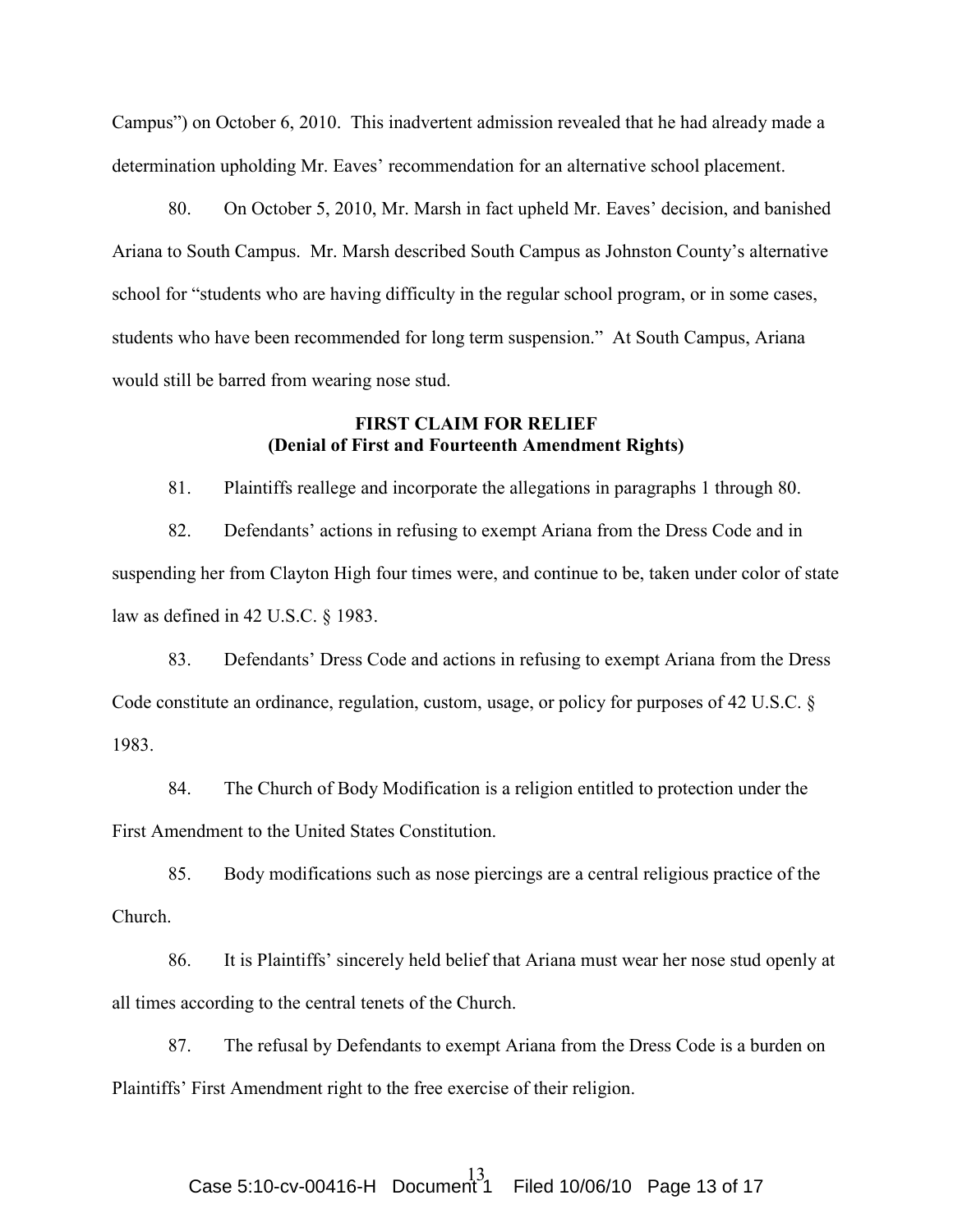Campus") on October 6, 2010. This inadvertent admission revealed that he had already made a determination upholding Mr. Eaves' recommendation for an alternative school placement.

80. On October 5, 2010, Mr. Marsh in fact upheld Mr. Eaves' decision, and banished Ariana to South Campus. Mr. Marsh described South Campus as Johnston County's alternative school for "students who are having difficulty in the regular school program, or in some cases, students who have been recommended for long term suspension." At South Campus, Ariana would still be barred from wearing nose stud.

## FIRST CLAIM FOR RELIEF (Denial of First and Fourteenth Amendment Rights)

81. Plaintiffs reallege and incorporate the allegations in paragraphs 1 through 80.

82. Defendants' actions in refusing to exempt Ariana from the Dress Code and in suspending her from Clayton High four times were, and continue to be, taken under color of state law as defined in 42 U.S.C. § 1983.

83. Defendants' Dress Code and actions in refusing to exempt Ariana from the Dress Code constitute an ordinance, regulation, custom, usage, or policy for purposes of 42 U.S.C. § 1983.

84. The Church of Body Modification is a religion entitled to protection under the First Amendment to the United States Constitution.

85. Body modifications such as nose piercings are a central religious practice of the Church.

86. It is Plaintiffs' sincerely held belief that Ariana must wear her nose stud openly at all times according to the central tenets of the Church.

87. The refusal by Defendants to exempt Ariana from the Dress Code is a burden on Plaintiffs' First Amendment right to the free exercise of their religion.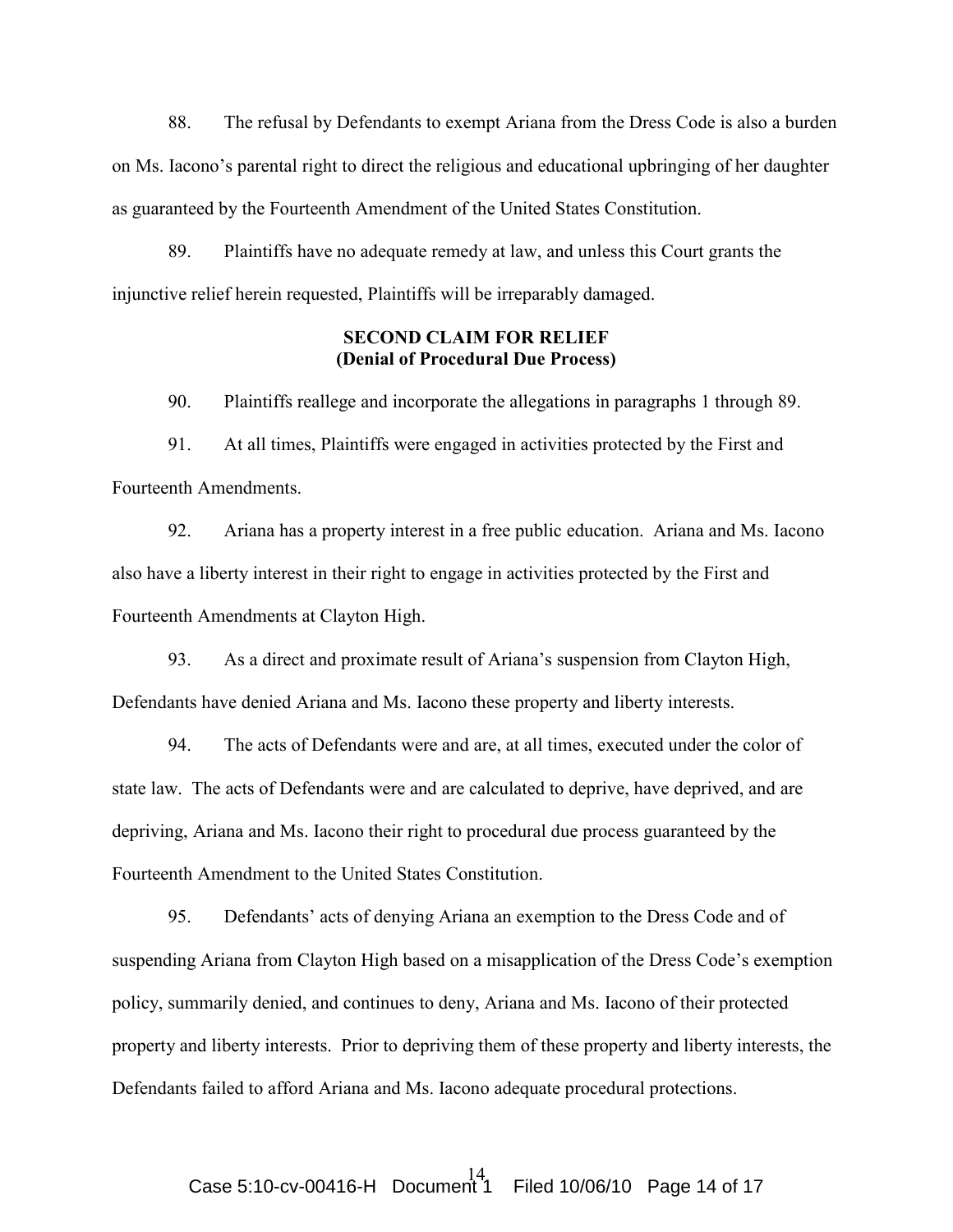88. The refusal by Defendants to exempt Ariana from the Dress Code is also a burden on Ms. Iacono's parental right to direct the religious and educational upbringing of her daughter as guaranteed by the Fourteenth Amendment of the United States Constitution.

89. Plaintiffs have no adequate remedy at law, and unless this Court grants the injunctive relief herein requested, Plaintiffs will be irreparably damaged.

## SECOND CLAIM FOR RELIEF (Denial of Procedural Due Process)

90. Plaintiffs reallege and incorporate the allegations in paragraphs 1 through 89.

91. At all times, Plaintiffs were engaged in activities protected by the First and Fourteenth Amendments.

92. Ariana has a property interest in a free public education. Ariana and Ms. Iacono also have a liberty interest in their right to engage in activities protected by the First and Fourteenth Amendments at Clayton High.

93. As a direct and proximate result of Ariana's suspension from Clayton High, Defendants have denied Ariana and Ms. Iacono these property and liberty interests.

94. The acts of Defendants were and are, at all times, executed under the color of state law. The acts of Defendants were and are calculated to deprive, have deprived, and are depriving, Ariana and Ms. Iacono their right to procedural due process guaranteed by the Fourteenth Amendment to the United States Constitution.

95. Defendants' acts of denying Ariana an exemption to the Dress Code and of suspending Ariana from Clayton High based on a misapplication of the Dress Code's exemption policy, summarily denied, and continues to deny, Ariana and Ms. Iacono of their protected property and liberty interests. Prior to depriving them of these property and liberty interests, the Defendants failed to afford Ariana and Ms. Iacono adequate procedural protections.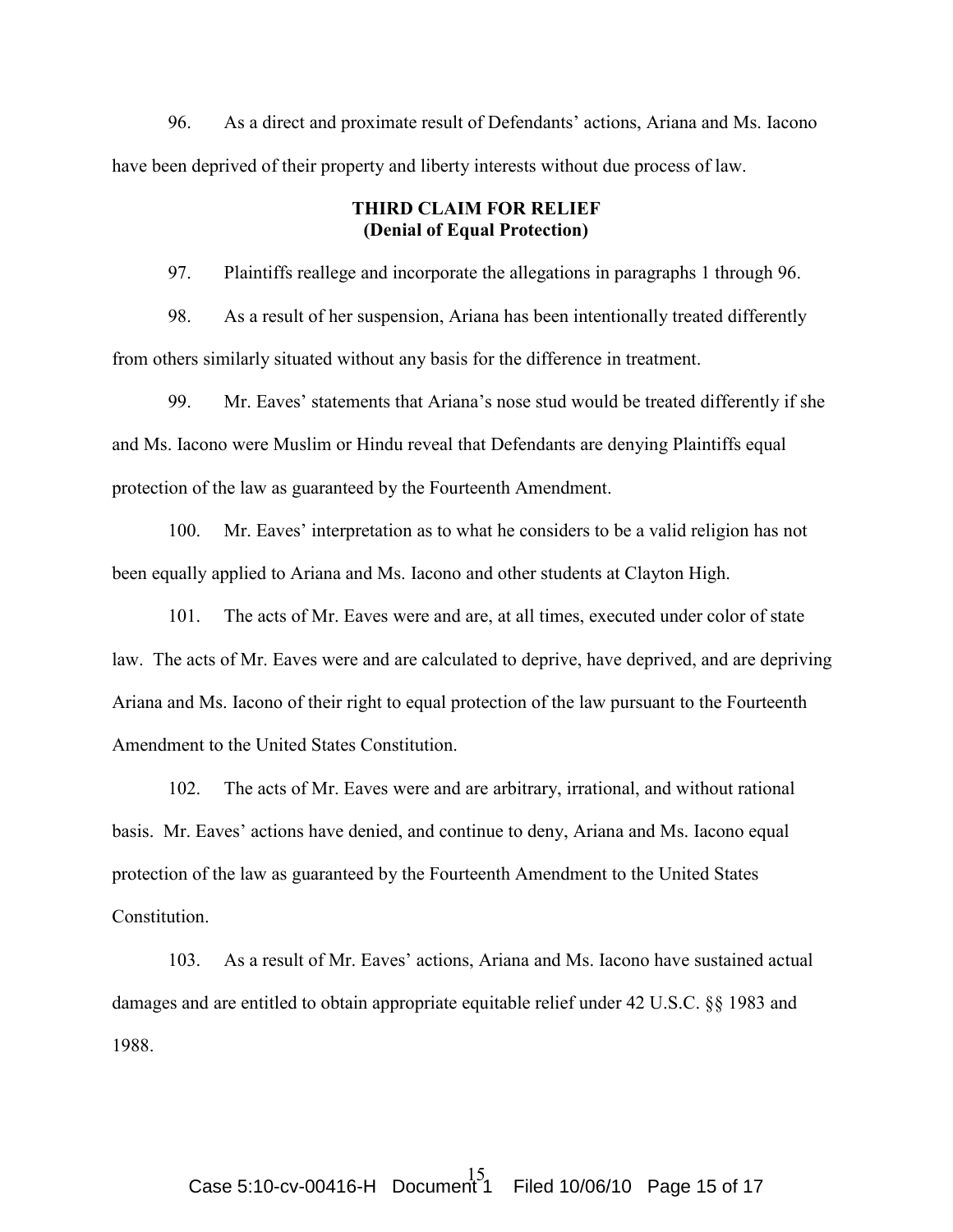96. As a direct and proximate result of Defendants' actions, Ariana and Ms. Iacono have been deprived of their property and liberty interests without due process of law.

# THIRD CLAIM FOR RELIEF (Denial of Equal Protection)

97. Plaintiffs reallege and incorporate the allegations in paragraphs 1 through 96.

98. As a result of her suspension, Ariana has been intentionally treated differently from others similarly situated without any basis for the difference in treatment.

99. Mr. Eaves' statements that Ariana's nose stud would be treated differently if she and Ms. Iacono were Muslim or Hindu reveal that Defendants are denying Plaintiffs equal protection of the law as guaranteed by the Fourteenth Amendment.

100. Mr. Eaves' interpretation as to what he considers to be a valid religion has not been equally applied to Ariana and Ms. Iacono and other students at Clayton High.

101. The acts of Mr. Eaves were and are, at all times, executed under color of state law. The acts of Mr. Eaves were and are calculated to deprive, have deprived, and are depriving Ariana and Ms. Iacono of their right to equal protection of the law pursuant to the Fourteenth Amendment to the United States Constitution.

102. The acts of Mr. Eaves were and are arbitrary, irrational, and without rational basis. Mr. Eaves' actions have denied, and continue to deny, Ariana and Ms. Iacono equal protection of the law as guaranteed by the Fourteenth Amendment to the United States Constitution.

103. As a result of Mr. Eaves' actions, Ariana and Ms. Iacono have sustained actual damages and are entitled to obtain appropriate equitable relief under 42 U.S.C. §§ 1983 and 1988.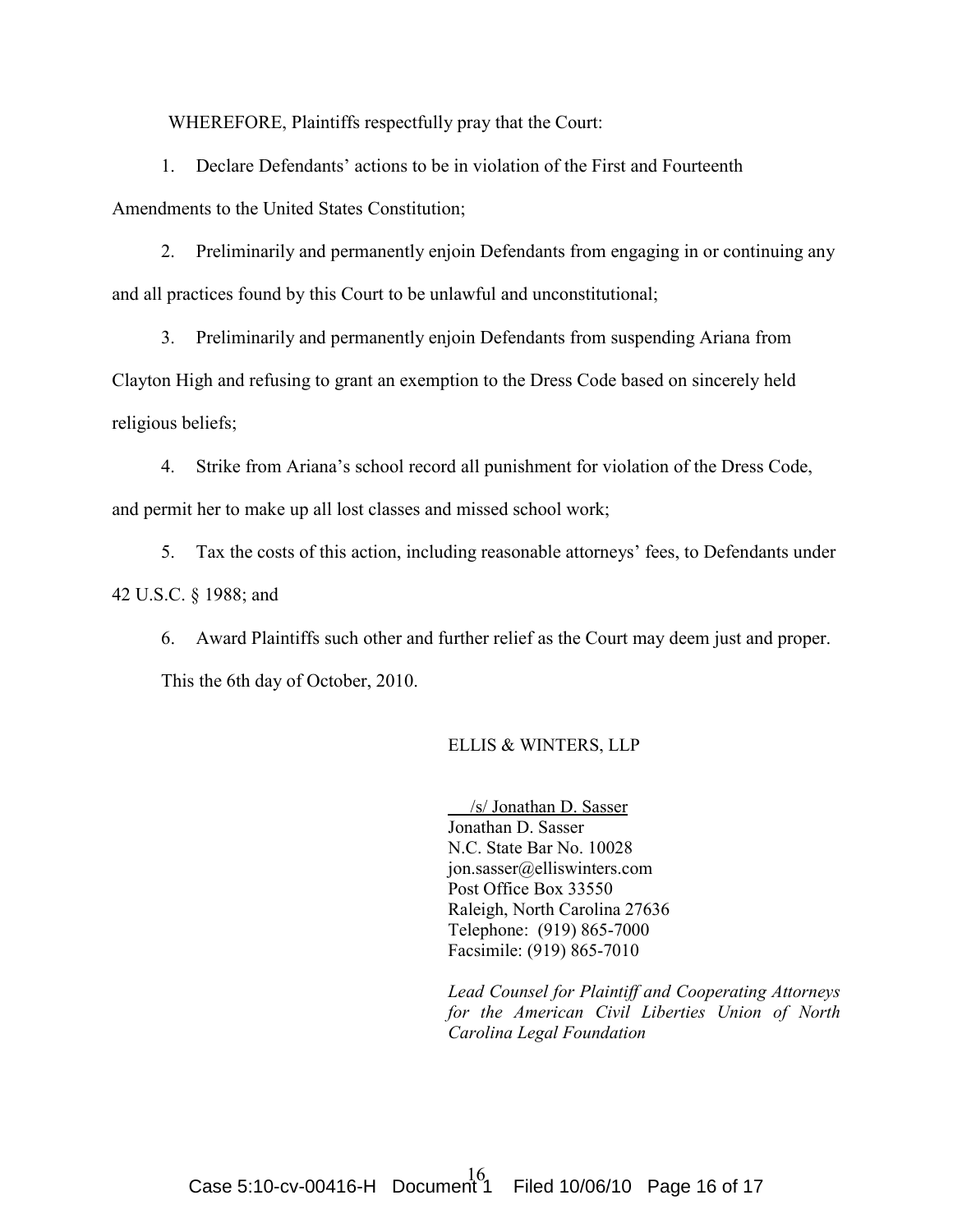WHEREFORE, Plaintiffs respectfully pray that the Court:

1. Declare Defendants' actions to be in violation of the First and Fourteenth

Amendments to the United States Constitution;

2. Preliminarily and permanently enjoin Defendants from engaging in or continuing any and all practices found by this Court to be unlawful and unconstitutional;

3. Preliminarily and permanently enjoin Defendants from suspending Ariana from Clayton High and refusing to grant an exemption to the Dress Code based on sincerely held religious beliefs;

4. Strike from Ariana's school record all punishment for violation of the Dress Code, and permit her to make up all lost classes and missed school work;

5. Tax the costs of this action, including reasonable attorneys' fees, to Defendants under 42 U.S.C. § 1988; and

6. Award Plaintiffs such other and further relief as the Court may deem just and proper. This the 6th day of October, 2010.

## ELLIS & WINTERS, LLP

 /s/ Jonathan D. Sasser Jonathan D. Sasser N.C. State Bar No. 10028 jon.sasser@elliswinters.com Post Office Box 33550 Raleigh, North Carolina 27636 Telephone: (919) 865-7000 Facsimile: (919) 865-7010

Lead Counsel for Plaintiff and Cooperating Attorneys for the American Civil Liberties Union of North Carolina Legal Foundation